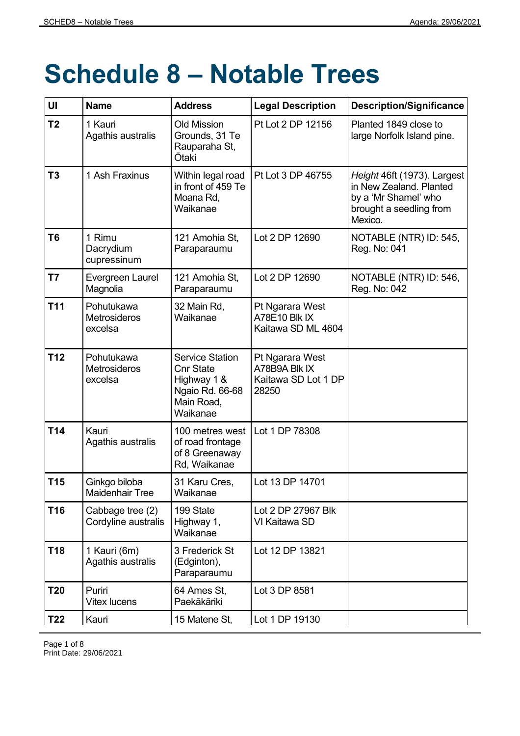## **Schedule 8 – Notable Trees**

| UI              | <b>Name</b>                                  | <b>Address</b>                                                                                         | <b>Legal Description</b>                                         | <b>Description/Significance</b>                                                                                      |
|-----------------|----------------------------------------------|--------------------------------------------------------------------------------------------------------|------------------------------------------------------------------|----------------------------------------------------------------------------------------------------------------------|
| T <sub>2</sub>  | 1 Kauri<br>Agathis australis                 | <b>Old Mission</b><br>Grounds, 31 Te<br>Rauparaha St,<br>Ōtaki                                         | Pt Lot 2 DP 12156                                                | Planted 1849 close to<br>large Norfolk Island pine.                                                                  |
| T <sub>3</sub>  | 1 Ash Fraxinus                               | Within legal road<br>in front of 459 Te<br>Moana Rd,<br>Waikanae                                       | Pt Lot 3 DP 46755                                                | Height 46ft (1973). Largest<br>in New Zealand. Planted<br>by a 'Mr Shamel' who<br>brought a seedling from<br>Mexico. |
| T <sub>6</sub>  | 1 Rimu<br>Dacrydium<br>cupressinum           | 121 Amohia St,<br>Paraparaumu                                                                          | Lot 2 DP 12690                                                   | NOTABLE (NTR) ID: 545,<br>Reg. No: 041                                                                               |
| T7              | Evergreen Laurel<br>Magnolia                 | 121 Amohia St,<br>Paraparaumu                                                                          | Lot 2 DP 12690                                                   | NOTABLE (NTR) ID: 546,<br>Reg. No: 042                                                                               |
| T <sub>11</sub> | Pohutukawa<br><b>Metrosideros</b><br>excelsa | 32 Main Rd,<br>Waikanae                                                                                | Pt Ngarara West<br>A78E10 Blk IX<br>Kaitawa SD ML 4604           |                                                                                                                      |
| <b>T12</b>      | Pohutukawa<br>Metrosideros<br>excelsa        | <b>Service Station</b><br><b>Cnr State</b><br>Highway 1 &<br>Ngaio Rd. 66-68<br>Main Road,<br>Waikanae | Pt Ngarara West<br>A78B9A Blk IX<br>Kaitawa SD Lot 1 DP<br>28250 |                                                                                                                      |
| T14             | Kauri<br>Agathis australis                   | 100 metres west<br>of road frontage<br>of 8 Greenaway<br>Rd, Waikanae                                  | Lot 1 DP 78308                                                   |                                                                                                                      |
| T15             | Ginkgo biloba<br><b>Maidenhair Tree</b>      | 31 Karu Cres,<br>Waikanae                                                                              | Lot 13 DP 14701                                                  |                                                                                                                      |
| <b>T16</b>      | Cabbage tree (2)<br>Cordyline australis      | 199 State<br>Highway 1,<br>Waikanae                                                                    | Lot 2 DP 27967 Blk<br>VI Kaitawa SD                              |                                                                                                                      |
| T18             | 1 Kauri (6m)<br>Agathis australis            | 3 Frederick St<br>(Edginton),<br>Paraparaumu                                                           | Lot 12 DP 13821                                                  |                                                                                                                      |
| T <sub>20</sub> | Puriri<br><b>Vitex lucens</b>                | 64 Ames St,<br>Paekākāriki                                                                             | Lot 3 DP 8581                                                    |                                                                                                                      |
| T22             | Kauri                                        | 15 Matene St,                                                                                          | Lot 1 DP 19130                                                   |                                                                                                                      |

Page 1 of 8 Print Date: 29/06/2021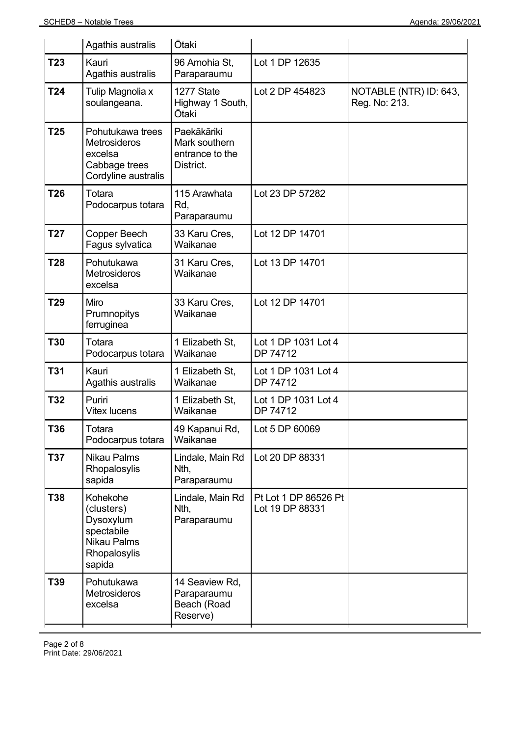|                 | Agathis australis                                                                                 | <b>Otaki</b>                                                 |                                         |                                         |
|-----------------|---------------------------------------------------------------------------------------------------|--------------------------------------------------------------|-----------------------------------------|-----------------------------------------|
| T23             | Kauri<br>Agathis australis                                                                        | 96 Amohia St,<br>Paraparaumu                                 | Lot 1 DP 12635                          |                                         |
| T24             | Tulip Magnolia x<br>soulangeana.                                                                  | 1277 State<br>Highway 1 South,<br><b>Ōtaki</b>               | Lot 2 DP 454823                         | NOTABLE (NTR) ID: 643,<br>Reg. No: 213. |
| T <sub>25</sub> | Pohutukawa trees<br>Metrosideros<br>excelsa<br>Cabbage trees<br>Cordyline australis               | Paekākāriki<br>Mark southern<br>entrance to the<br>District. |                                         |                                         |
| T26             | Totara<br>Podocarpus totara                                                                       | 115 Arawhata<br>Rd,<br>Paraparaumu                           | Lot 23 DP 57282                         |                                         |
| T <sub>27</sub> | Copper Beech<br>Fagus sylvatica                                                                   | 33 Karu Cres,<br>Waikanae                                    | Lot 12 DP 14701                         |                                         |
| <b>T28</b>      | Pohutukawa<br><b>Metrosideros</b><br>excelsa                                                      | 31 Karu Cres,<br>Waikanae                                    | Lot 13 DP 14701                         |                                         |
| T29             | Miro<br>Prumnopitys<br>ferruginea                                                                 | 33 Karu Cres,<br>Waikanae                                    | Lot 12 DP 14701                         |                                         |
| <b>T30</b>      | Totara<br>Podocarpus totara                                                                       | 1 Elizabeth St,<br>Waikanae                                  | Lot 1 DP 1031 Lot 4<br>DP 74712         |                                         |
| <b>T31</b>      | Kauri<br>Agathis australis                                                                        | 1 Elizabeth St,<br>Waikanae                                  | Lot 1 DP 1031 Lot 4<br>DP 74712         |                                         |
| T32             | Puriri<br><b>Vitex lucens</b>                                                                     | 1 Elizabeth St,<br>Waikanae                                  | Lot 1 DP 1031 Lot 4<br>DP 74712         |                                         |
| T36             | Totara<br>Podocarpus totara                                                                       | 49 Kapanui Rd,<br>Waikanae                                   | Lot 5 DP 60069                          |                                         |
| T37             | <b>Nikau Palms</b><br>Rhopalosylis<br>sapida                                                      | Lindale, Main Rd<br>Nth,<br>Paraparaumu                      | Lot 20 DP 88331                         |                                         |
| T38             | Kohekohe<br>(clusters)<br>Dysoxylum<br>spectabile<br><b>Nikau Palms</b><br>Rhopalosylis<br>sapida | Lindale, Main Rd<br>Nth,<br>Paraparaumu                      | Pt Lot 1 DP 86526 Pt<br>Lot 19 DP 88331 |                                         |
| T39             | Pohutukawa<br>Metrosideros<br>excelsa                                                             | 14 Seaview Rd,<br>Paraparaumu<br>Beach (Road<br>Reserve)     |                                         |                                         |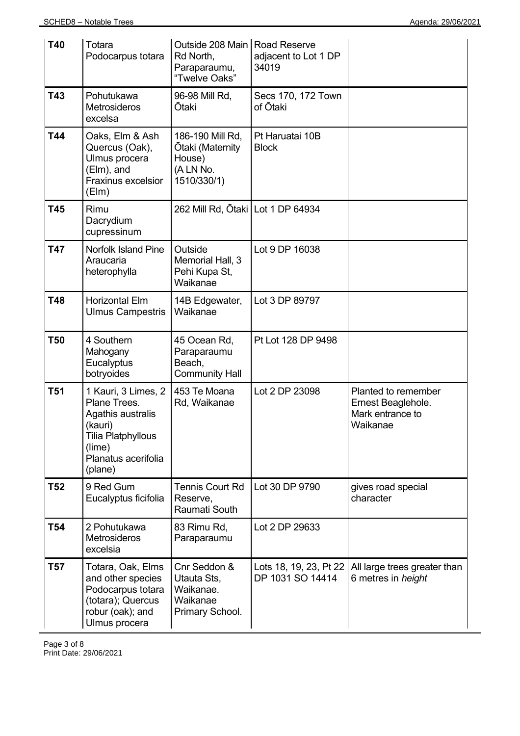| <b>T40</b>      | Totara<br>Podocarpus totara                                                                                                                  | Outside 208 Main   Road Reserve<br>Rd North,<br>Paraparaumu,<br>"Twelve Oaks" | adjacent to Lot 1 DP<br>34019              |                                                                           |
|-----------------|----------------------------------------------------------------------------------------------------------------------------------------------|-------------------------------------------------------------------------------|--------------------------------------------|---------------------------------------------------------------------------|
| T43             | Pohutukawa<br>Metrosideros<br>excelsa                                                                                                        | 96-98 Mill Rd,<br><b>Ōtaki</b>                                                | Secs 170, 172 Town<br>of Ōtaki             |                                                                           |
| T44             | Oaks, Elm & Ash<br>Quercus (Oak),<br>Ulmus procera<br>(Elm), and<br><b>Fraxinus excelsior</b><br>(EIm)                                       | 186-190 Mill Rd,<br>Ōtaki (Maternity<br>House)<br>(A LN No.<br>1510/330/1)    | Pt Haruatai 10B<br><b>Block</b>            |                                                                           |
| T45             | Rimu<br>Dacrydium<br>cupressinum                                                                                                             | 262 Mill Rd, Ōtaki   Lot 1 DP 64934                                           |                                            |                                                                           |
| <b>T47</b>      | <b>Norfolk Island Pine</b><br>Araucaria<br>heterophylla                                                                                      | Outside<br>Memorial Hall, 3<br>Pehi Kupa St,<br>Waikanae                      | Lot 9 DP 16038                             |                                                                           |
| T48             | <b>Horizontal Elm</b><br><b>Ulmus Campestris</b>                                                                                             | 14B Edgewater,<br>Waikanae                                                    | Lot 3 DP 89797                             |                                                                           |
| <b>T50</b>      | 4 Southern<br>Mahogany<br>Eucalyptus<br>botryoides                                                                                           | 45 Ocean Rd,<br>Paraparaumu<br>Beach,<br><b>Community Hall</b>                | Pt Lot 128 DP 9498                         |                                                                           |
| <b>T51</b>      | 1 Kauri, 3 Limes, 2<br>Plane Trees.<br>Agathis australis<br>(kauri)<br><b>Tilia Platphyllous</b><br>(lime)<br>Planatus acerifolia<br>(plane) | 453 Te Moana<br>Rd, Waikanae                                                  | Lot 2 DP 23098                             | Planted to remember<br>Ernest Beaglehole.<br>Mark entrance to<br>Waikanae |
| <b>T52</b>      | 9 Red Gum<br>Eucalyptus ficifolia                                                                                                            | <b>Tennis Court Rd</b><br>Reserve,<br>Raumati South                           | Lot 30 DP 9790                             | gives road special<br>character                                           |
| T <sub>54</sub> | 2 Pohutukawa<br>Metrosideros<br>excelsia                                                                                                     | 83 Rimu Rd,<br>Paraparaumu                                                    | Lot 2 DP 29633                             |                                                                           |
| <b>T57</b>      | Totara, Oak, Elms<br>and other species<br>Podocarpus totara<br>(totara); Quercus<br>robur (oak); and<br>Ulmus procera                        | Cnr Seddon &<br>Utauta Sts,<br>Waikanae.<br>Waikanae<br>Primary School.       | Lots 18, 19, 23, Pt 22<br>DP 1031 SO 14414 | All large trees greater than<br>6 metres in height                        |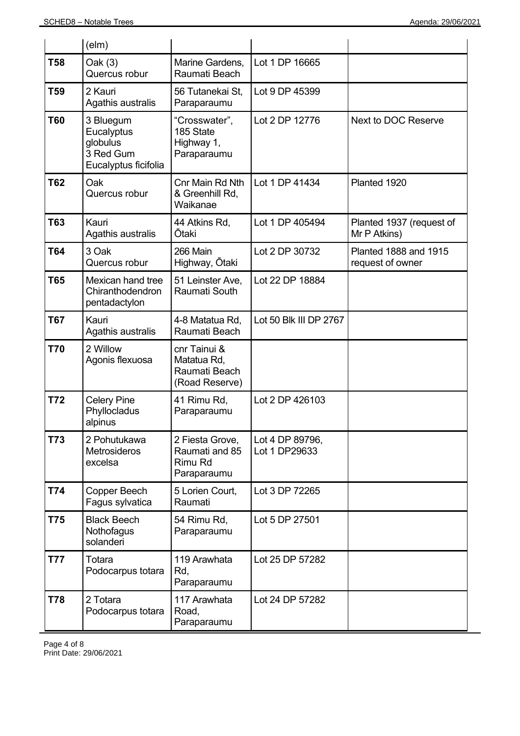|            | $(\text{elm})$                                                           |                                                                |                                  |                                                  |
|------------|--------------------------------------------------------------------------|----------------------------------------------------------------|----------------------------------|--------------------------------------------------|
| <b>T58</b> | Oak (3)<br>Quercus robur                                                 | Marine Gardens,<br>Raumati Beach                               | Lot 1 DP 16665                   |                                                  |
| <b>T59</b> | 2 Kauri<br>Agathis australis                                             | 56 Tutanekai St,<br>Paraparaumu                                | Lot 9 DP 45399                   |                                                  |
| <b>T60</b> | 3 Bluegum<br>Eucalyptus<br>globulus<br>3 Red Gum<br>Eucalyptus ficifolia | "Crosswater",<br>185 State<br>Highway 1,<br>Paraparaumu        | Lot 2 DP 12776                   | Next to DOC Reserve                              |
| <b>T62</b> | Oak<br>Quercus robur                                                     | Cnr Main Rd Nth<br>& Greenhill Rd,<br>Waikanae                 | Lot 1 DP 41434                   | Planted 1920                                     |
| T63        | Kauri<br>Agathis australis                                               | 44 Atkins Rd,<br>Ōtaki                                         | Lot 1 DP 405494                  | Planted 1937 (request of<br>Mr P Atkins)         |
| <b>T64</b> | 3 Oak<br>Quercus robur                                                   | 266 Main<br>Highway, Ōtaki                                     | Lot 2 DP 30732                   | <b>Planted 1888 and 1915</b><br>request of owner |
| <b>T65</b> | Mexican hand tree<br>Chiranthodendron<br>pentadactylon                   | 51 Leinster Ave,<br>Raumati South                              | Lot 22 DP 18884                  |                                                  |
| <b>T67</b> | Kauri<br>Agathis australis                                               | 4-8 Matatua Rd,<br>Raumati Beach                               | Lot 50 Blk III DP 2767           |                                                  |
| <b>T70</b> | 2 Willow<br>Agonis flexuosa                                              | cnr Tainui &<br>Matatua Rd,<br>Raumati Beach<br>(Road Reserve) |                                  |                                                  |
| T72        | <b>Celery Pine</b><br>Phyllocladus<br>alpinus                            | 41 Rimu Rd,<br>Paraparaumu                                     | Lot 2 DP 426103                  |                                                  |
| T73        | 2 Pohutukawa<br>Metrosideros<br>excelsa                                  | 2 Fiesta Grove,<br>Raumati and 85<br>Rimu Rd<br>Paraparaumu    | Lot 4 DP 89796,<br>Lot 1 DP29633 |                                                  |
| T74        | Copper Beech<br>Fagus sylvatica                                          | 5 Lorien Court,<br>Raumati                                     | Lot 3 DP 72265                   |                                                  |
| T75        | <b>Black Beech</b><br>Nothofagus<br>solanderi                            | 54 Rimu Rd,<br>Paraparaumu                                     | Lot 5 DP 27501                   |                                                  |
| <b>T77</b> | Totara<br>Podocarpus totara                                              | 119 Arawhata<br>Rd,<br>Paraparaumu                             | Lot 25 DP 57282                  |                                                  |
| T78        | 2 Totara<br>Podocarpus totara                                            | 117 Arawhata<br>Road,<br>Paraparaumu                           | Lot 24 DP 57282                  |                                                  |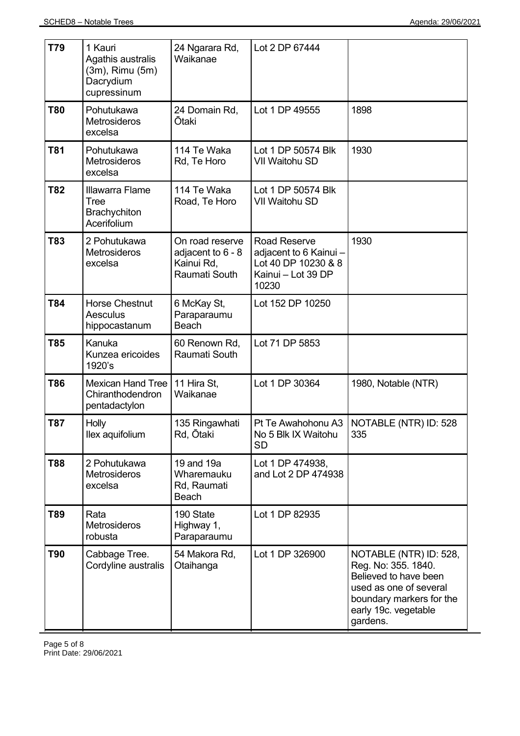| T79        | 1 Kauri<br>Agathis australis<br>(3m), Rimu (5m)<br>Dacrydium<br>cupressinum | 24 Ngarara Rd,<br>Waikanae                                                 | Lot 2 DP 67444                                                                                      |                                                                                                                                                                  |
|------------|-----------------------------------------------------------------------------|----------------------------------------------------------------------------|-----------------------------------------------------------------------------------------------------|------------------------------------------------------------------------------------------------------------------------------------------------------------------|
| <b>T80</b> | Pohutukawa<br><b>Metrosideros</b><br>excelsa                                | 24 Domain Rd,<br>Ōtaki                                                     | Lot 1 DP 49555                                                                                      | 1898                                                                                                                                                             |
| <b>T81</b> | Pohutukawa<br><b>Metrosideros</b><br>excelsa                                | 114 Te Waka<br>Rd, Te Horo                                                 | Lot 1 DP 50574 Blk<br><b>VII Waitohu SD</b>                                                         | 1930                                                                                                                                                             |
| <b>T82</b> | Illawarra Flame<br>Tree<br>Brachychiton<br>Acerifolium                      | 114 Te Waka<br>Road, Te Horo                                               | Lot 1 DP 50574 Blk<br>VII Waitohu SD                                                                |                                                                                                                                                                  |
| T83        | 2 Pohutukawa<br>Metrosideros<br>excelsa                                     | On road reserve<br>adjacent to 6 - 8<br>Kainui Rd,<br><b>Raumati South</b> | <b>Road Reserve</b><br>adjacent to 6 Kainui -<br>Lot 40 DP 10230 & 8<br>Kainui - Lot 39 DP<br>10230 | 1930                                                                                                                                                             |
| <b>T84</b> | <b>Horse Chestnut</b><br>Aesculus<br>hippocastanum                          | 6 McKay St,<br>Paraparaumu<br><b>Beach</b>                                 | Lot 152 DP 10250                                                                                    |                                                                                                                                                                  |
| <b>T85</b> | Kanuka<br>Kunzea ericoides<br>1920's                                        | 60 Renown Rd,<br>Raumati South                                             | Lot 71 DP 5853                                                                                      |                                                                                                                                                                  |
| <b>T86</b> | <b>Mexican Hand Tree</b><br>Chiranthodendron<br>pentadactylon               | 11 Hira St,<br>Waikanae                                                    | Lot 1 DP 30364                                                                                      | 1980, Notable (NTR)                                                                                                                                              |
| <b>T87</b> | <b>Holly</b><br>llex aquifolium                                             | 135 Ringawhati<br>Rd, Ōtaki                                                | No 5 Blk IX Waitohu<br><b>SD</b>                                                                    | Pt Te Awahohonu A3   NOTABLE (NTR) ID: 528<br>335                                                                                                                |
| <b>T88</b> | 2 Pohutukawa<br>Metrosideros<br>excelsa                                     | 19 and 19a<br>Wharemauku<br>Rd, Raumati<br>Beach                           | Lot 1 DP 474938,<br>and Lot 2 DP 474938                                                             |                                                                                                                                                                  |
| T89        | Rata<br><b>Metrosideros</b><br>robusta                                      | 190 State<br>Highway 1,<br>Paraparaumu                                     | Lot 1 DP 82935                                                                                      |                                                                                                                                                                  |
| <b>T90</b> | Cabbage Tree.<br>Cordyline australis                                        | 54 Makora Rd,<br>Otaihanga                                                 | Lot 1 DP 326900                                                                                     | NOTABLE (NTR) ID: 528,<br>Reg. No: 355. 1840.<br>Believed to have been<br>used as one of several<br>boundary markers for the<br>early 19c. vegetable<br>gardens. |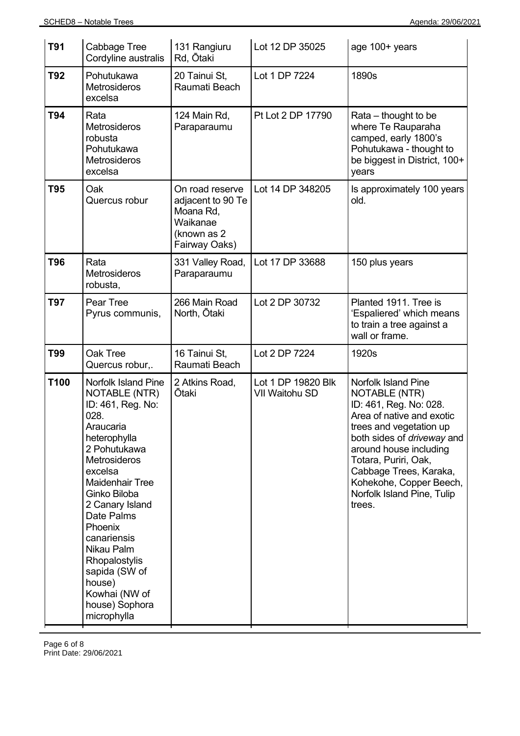| <b>T91</b> | Cabbage Tree<br>Cordyline australis                                                                                                                                                                                                                                                                                                                                      | 131 Rangiuru<br>Rd, Ōtaki                                                                     | Lot 12 DP 35025                      | age 100+ years                                                                                                                                                                                                                                                                                                           |
|------------|--------------------------------------------------------------------------------------------------------------------------------------------------------------------------------------------------------------------------------------------------------------------------------------------------------------------------------------------------------------------------|-----------------------------------------------------------------------------------------------|--------------------------------------|--------------------------------------------------------------------------------------------------------------------------------------------------------------------------------------------------------------------------------------------------------------------------------------------------------------------------|
| <b>T92</b> | Pohutukawa<br><b>Metrosideros</b><br>excelsa                                                                                                                                                                                                                                                                                                                             | 20 Tainui St,<br>Raumati Beach                                                                | Lot 1 DP 7224                        | 1890s                                                                                                                                                                                                                                                                                                                    |
| T94        | Rata<br>Metrosideros<br>robusta<br>Pohutukawa<br>Metrosideros<br>excelsa                                                                                                                                                                                                                                                                                                 | 124 Main Rd,<br>Paraparaumu                                                                   | Pt Lot 2 DP 17790                    | Rata – thought to be<br>where Te Rauparaha<br>camped, early 1800's<br>Pohutukawa - thought to<br>be biggest in District, 100+<br>years                                                                                                                                                                                   |
| <b>T95</b> | Oak<br>Quercus robur                                                                                                                                                                                                                                                                                                                                                     | On road reserve<br>adjacent to 90 Te<br>Moana Rd,<br>Waikanae<br>(known as 2<br>Fairway Oaks) | Lot 14 DP 348205                     | Is approximately 100 years<br>old.                                                                                                                                                                                                                                                                                       |
| <b>T96</b> | Rata<br><b>Metrosideros</b><br>robusta,                                                                                                                                                                                                                                                                                                                                  | 331 Valley Road,<br>Paraparaumu                                                               | Lot 17 DP 33688                      | 150 plus years                                                                                                                                                                                                                                                                                                           |
| <b>T97</b> | Pear Tree<br>Pyrus communis,                                                                                                                                                                                                                                                                                                                                             | 266 Main Road<br>North, Ōtaki                                                                 | Lot 2 DP 30732                       | Planted 1911. Tree is<br>'Espaliered' which means<br>to train a tree against a<br>wall or frame.                                                                                                                                                                                                                         |
| <b>T99</b> | Oak Tree<br>Quercus robur,.                                                                                                                                                                                                                                                                                                                                              | 16 Tainui St,<br>Raumati Beach                                                                | Lot 2 DP 7224                        | 1920s                                                                                                                                                                                                                                                                                                                    |
| T100       | <b>Norfolk Island Pine</b><br><b>NOTABLE (NTR)</b><br>ID: 461, Reg. No:<br>028.<br>Araucaria<br>heterophylla<br>2 Pohutukawa<br>Metrosideros<br>excelsa<br><b>Maidenhair Tree</b><br>Ginko Biloba<br>2 Canary Island<br>Date Palms<br>Phoenix<br>canariensis<br>Nikau Palm<br>Rhopalostylis<br>sapida (SW of<br>house)<br>Kowhai (NW of<br>house) Sophora<br>microphylla | 2 Atkins Road,<br><b>Otaki</b>                                                                | Lot 1 DP 19820 Blk<br>VII Waitohu SD | <b>Norfolk Island Pine</b><br><b>NOTABLE (NTR)</b><br>ID: 461, Reg. No: 028.<br>Area of native and exotic<br>trees and vegetation up<br>both sides of <i>driveway</i> and<br>around house including<br>Totara, Puriri, Oak,<br>Cabbage Trees, Karaka,<br>Kohekohe, Copper Beech,<br>Norfolk Island Pine, Tulip<br>trees. |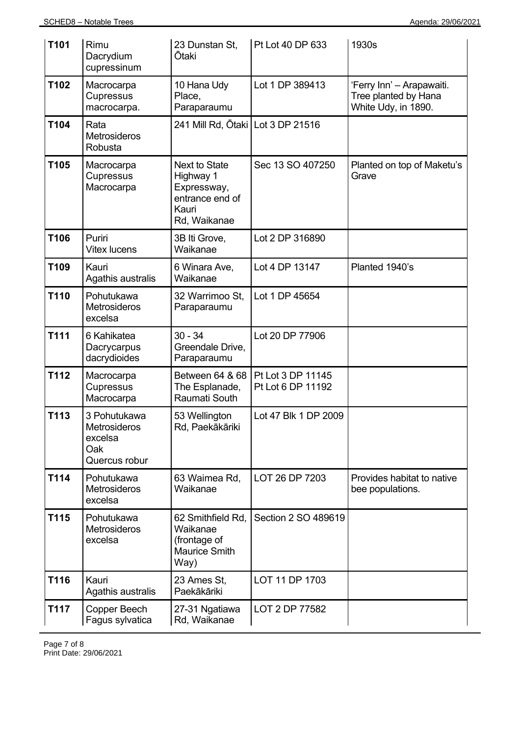| T101 | Rimu<br>Dacrydium<br>cupressinum                                | 23 Dunstan St,<br>Ōtaki                                                                      | Pt Lot 40 DP 633                       | 1930s                                                                    |
|------|-----------------------------------------------------------------|----------------------------------------------------------------------------------------------|----------------------------------------|--------------------------------------------------------------------------|
| T102 | Macrocarpa<br>Cupressus<br>macrocarpa.                          | 10 Hana Udy<br>Place,<br>Paraparaumu                                                         | Lot 1 DP 389413                        | 'Ferry Inn' - Arapawaiti.<br>Tree planted by Hana<br>White Udy, in 1890. |
| T104 | Rata<br>Metrosideros<br>Robusta                                 | 241 Mill Rd, Ōtaki   Lot 3 DP 21516                                                          |                                        |                                                                          |
| T105 | Macrocarpa<br>Cupressus<br>Macrocarpa                           | <b>Next to State</b><br>Highway 1<br>Expressway,<br>entrance end of<br>Kauri<br>Rd, Waikanae | Sec 13 SO 407250                       | Planted on top of Maketu's<br>Grave                                      |
| T106 | Puriri<br><b>Vitex lucens</b>                                   | 3B Iti Grove,<br>Waikanae                                                                    | Lot 2 DP 316890                        |                                                                          |
| T109 | Kauri<br>Agathis australis                                      | 6 Winara Ave,<br>Waikanae                                                                    | Lot 4 DP 13147                         | Planted 1940's                                                           |
| T110 | Pohutukawa<br>Metrosideros<br>excelsa                           | 32 Warrimoo St,<br>Paraparaumu                                                               | Lot 1 DP 45654                         |                                                                          |
| T111 | 6 Kahikatea<br>Dacrycarpus<br>dacrydioides                      | $30 - 34$<br>Greendale Drive,<br>Paraparaumu                                                 | Lot 20 DP 77906                        |                                                                          |
| T112 | Macrocarpa<br>Cupressus<br>Macrocarpa                           | Between 64 & 68<br>The Esplanade,<br>Raumati South                                           | Pt Lot 3 DP 11145<br>Pt Lot 6 DP 11192 |                                                                          |
| T113 | 3 Pohutukawa<br>Metrosideros<br>excelsa<br>Oak<br>Quercus robur | 53 Wellington<br>Rd, Paekākāriki                                                             | Lot 47 Blk 1 DP 2009                   |                                                                          |
| T114 | Pohutukawa<br><b>Metrosideros</b><br>excelsa                    | 63 Waimea Rd,<br>Waikanae                                                                    | LOT 26 DP 7203                         | Provides habitat to native<br>bee populations.                           |
| T115 | Pohutukawa<br>Metrosideros<br>excelsa                           | 62 Smithfield Rd,<br>Waikanae<br>(frontage of<br>Maurice Smith<br>Way)                       | Section 2 SO 489619                    |                                                                          |
| T116 | Kauri<br>Agathis australis                                      | 23 Ames St,<br>Paekākāriki                                                                   | LOT 11 DP 1703                         |                                                                          |
| T117 | Copper Beech<br>Fagus sylvatica                                 | 27-31 Ngatiawa<br>Rd, Waikanae                                                               | LOT 2 DP 77582                         |                                                                          |

Page 7 of 8 Print Date: 29/06/2021